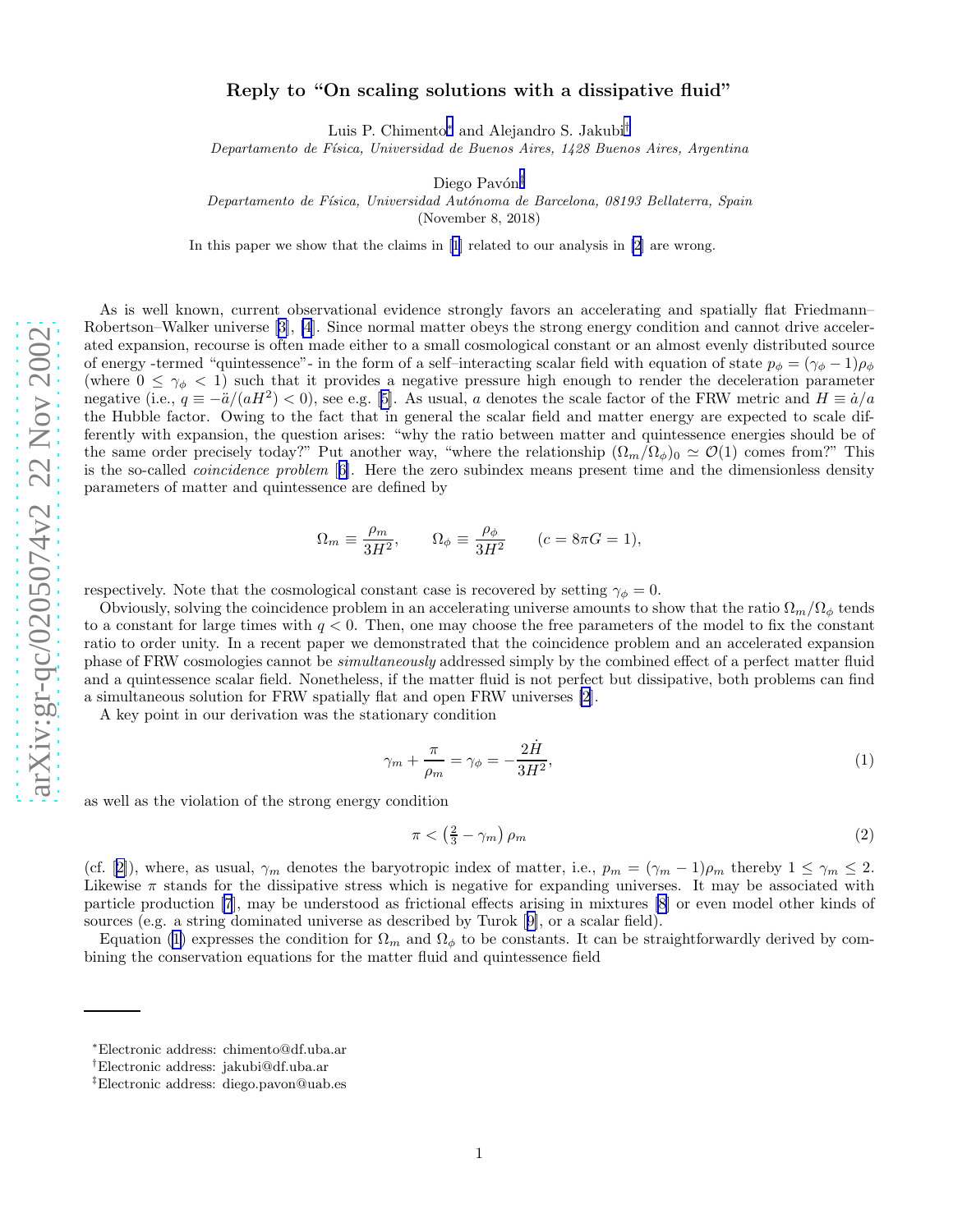## <span id="page-0-0"></span>Reply to "On scaling solutions with a dissipative fluid"

Luis P. Chimento<sup>∗</sup> and Alejandro S. Jakubi<sup>†</sup>

Departamento de F´ısica, Universidad de Buenos Aires, 1428 Buenos Aires, Argentina

Diego Pavón‡

Departamento de Física, Universidad Autónoma de Barcelona, 08193 Bellaterra, Spain

(November 8, 2018)

In this paper we show that the claims in[[1](#page-2-0)] related to our analysis in [\[2\]](#page-2-0) are wrong.

As is well known, current observational evidence strongly favors an accelerating and spatially flat Friedmann– Robertson–Walker universe[[3\]](#page-2-0), [\[4](#page-2-0)]. Since normal matter obeys the strong energy condition and cannot drive accelerated expansion, recourse is often made either to a small cosmological constant or an almost evenly distributed source of energy -termed "quintessence"- in the form of a self-interacting scalar field with equation of state  $p_{\phi} = (\gamma_{\phi} - 1)\rho_{\phi}$ (where  $0 \leq \gamma_{\phi} < 1$ ) such that it provides a negative pressure high enough to render the deceleration parameter negative(i.e.,  $q \equiv -\frac{\ddot{a}}{(aH^2)} < 0$ ), see e.g. [[5\]](#page-3-0). As usual, a denotes the scale factor of the FRW metric and  $H \equiv \dot{a}/a$ the Hubble factor. Owing to the fact that in general the scalar field and matter energy are expected to scale differently with expansion, the question arises: "why the ratio between matter and quintessence energies should be of the same order precisely today?" Put another way, "where the relationship  $(\Omega_m/\Omega_\phi)_0 \simeq \mathcal{O}(1)$  comes from?" This is the so-called coincidence problem [[6\]](#page-3-0). Here the zero subindex means present time and the dimensionless density parameters of matter and quintessence are defined by

$$
\Omega_m \equiv \frac{\rho_m}{3H^2}, \qquad \Omega_\phi \equiv \frac{\rho_\phi}{3H^2} \qquad (c = 8\pi G = 1),
$$

respectively. Note that the cosmological constant case is recovered by setting  $\gamma_{\phi} = 0$ .

Obviously, solving the coincidence problem in an accelerating universe amounts to show that the ratio  $\Omega_m/\Omega_\phi$  tends to a constant for large times with  $q < 0$ . Then, one may choose the free parameters of the model to fix the constant ratio to order unity. In a recent paper we demonstrated that the coincidence problem and an accelerated expansion phase of FRW cosmologies cannot be simultaneously addressed simply by the combined effect of a perfect matter fluid and a quintessence scalar field. Nonetheless, if the matter fluid is not perfect but dissipative, both problems can find a simultaneous solution for FRW spatially flat and open FRW universes [\[2](#page-2-0)].

A key point in our derivation was the stationary condition

$$
\gamma_m + \frac{\pi}{\rho_m} = \gamma_\phi = -\frac{2\dot{H}}{3H^2},\tag{1}
$$

as well as the violation of the strong energy condition

$$
\pi < \left(\frac{2}{3} - \gamma_m\right)\rho_m\tag{2}
$$

(cf.[[2\]](#page-2-0)), where, as usual,  $\gamma_m$  denotes the baryotropic index of matter, i.e.,  $p_m = (\gamma_m - 1)\rho_m$  thereby  $1 \leq \gamma_m \leq 2$ . Likewise  $\pi$  stands for the dissipative stress which is negative for expanding universes. It may be associated with particle production [\[7](#page-3-0)], may be understood as frictional effects arising in mixtures [\[8](#page-3-0)] or even model other kinds of sources (e.g. a string dominated universe as described by Turok[[9\]](#page-3-0), or a scalar field).

Equation (1) expresses the condition for  $\Omega_m$  and  $\Omega_\phi$  to be constants. It can be straightforwardly derived by combining the conservation equations for the matter fluid and quintessence field

<sup>∗</sup>Electronic address: chimento@df.uba.ar

<sup>†</sup>Electronic address: jakubi@df.uba.ar

<sup>‡</sup>Electronic address: diego.pavon@uab.es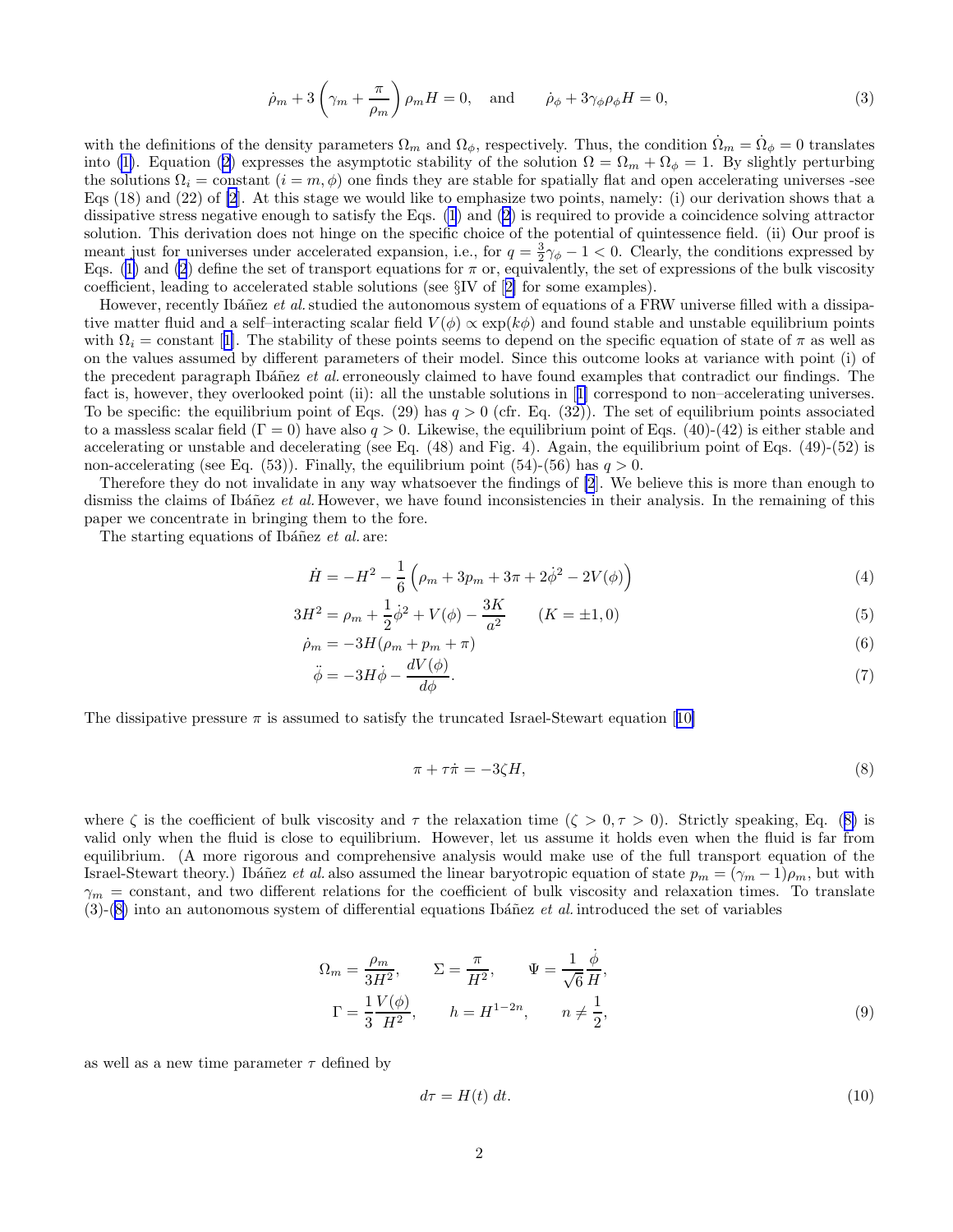$$
\dot{\rho}_m + 3\left(\gamma_m + \frac{\pi}{\rho_m}\right)\rho_m H = 0, \text{ and } \dot{\rho}_\phi + 3\gamma_\phi \rho_\phi H = 0,
$$
\n(3)

<span id="page-1-0"></span>with the definitions of the density parameters  $\Omega_m$  and  $\Omega_\phi$ , respectively. Thus, the condition  $\dot{\Omega}_m = \dot{\Omega}_\phi = 0$  translates into [\(1\)](#page-0-0).Equation ([2\)](#page-0-0) expresses the asymptotic stability of the solution  $\Omega = \Omega_m + \Omega_{\phi} = 1$ . By slightly perturbing the solutions  $\Omega_i = \text{constant}$   $(i = m, \phi)$  one finds they are stable for spatially flat and open accelerating universes -see Eqs (18) and (22) of [\[2](#page-2-0)]. At this stage we would like to emphasize two points, namely: (i) our derivation shows that a dissipative stress negative enough to satisfy the Eqs. [\(1](#page-0-0)) and [\(2](#page-0-0)) is required to provide a coincidence solving attractor solution. This derivation does not hinge on the specific choice of the potential of quintessence field. (ii) Our proof is meant just for universes under accelerated expansion, i.e., for  $q = \frac{3}{2}\gamma_{\phi} - 1 < 0$ . Clearly, the conditions expressed by Eqs.([1\)](#page-0-0) and [\(2](#page-0-0)) define the set of transport equations for  $\pi$  or, equivalently, the set of expressions of the bulk viscosity coefficient, leading to accelerated stable solutions (see §IV of[[2\]](#page-2-0) for some examples).

However, recently Ibáñez et al. studied the autonomous system of equations of a FRW universe filled with a dissipative matter fluid and a self–interacting scalar field  $V(\phi) \propto \exp(k\phi)$  and found stable and unstable equilibrium points with $\Omega_i$  = constant [[1\]](#page-2-0). The stability of these points seems to depend on the specific equation of state of  $\pi$  as well as on the values assumed by different parameters of their model. Since this outcome looks at variance with point (i) of the precedent paragraph Ibáñez et al. erroneously claimed to have found examples that contradict our findings. The fact is, however, they overlooked point (ii): all the unstable solutions in[[1\]](#page-2-0) correspond to non–accelerating universes. To be specific: the equilibrium point of Eqs. (29) has  $q > 0$  (cfr. Eq. (32)). The set of equilibrium points associated to a massless scalar field  $(\Gamma = 0)$  have also  $q > 0$ . Likewise, the equilibrium point of Eqs. (40)-(42) is either stable and accelerating or unstable and decelerating (see Eq.  $(48)$  and Fig. 4). Again, the equilibrium point of Eqs.  $(49)-(52)$  is non-accelerating (see Eq. (53)). Finally, the equilibrium point (54)-(56) has  $q > 0$ .

Therefore they do not invalidate in any way whatsoever the findings of [\[2](#page-2-0)]. We believe this is more than enough to dismiss the claims of Ibáñez et al. However, we have found inconsistencies in their analysis. In the remaining of this paper we concentrate in bringing them to the fore.

The starting equations of Ibáñez et al. are:

$$
\dot{H} = -H^2 - \frac{1}{6} \left( \rho_m + 3p_m + 3\pi + 2\dot{\phi}^2 - 2V(\phi) \right)
$$
\n(4)

$$
3H^2 = \rho_m + \frac{1}{2}\dot{\phi}^2 + V(\phi) - \frac{3K}{a^2} \qquad (K = \pm 1, 0)
$$
\n(5)

$$
\dot{\rho}_m = -3H(\rho_m + p_m + \pi) \tag{6}
$$

$$
\ddot{\phi} = -3H\dot{\phi} - \frac{dV(\phi)}{d\phi}.\tag{7}
$$

Thedissipative pressure  $\pi$  is assumed to satisfy the truncated Israel-Stewart equation [[10\]](#page-3-0)

$$
\pi + \tau \dot{\pi} = -3\zeta H,\tag{8}
$$

where  $\zeta$  is the coefficient of bulk viscosity and  $\tau$  the relaxation time  $(\zeta > 0, \tau > 0)$ . Strictly speaking, Eq. (8) is valid only when the fluid is close to equilibrium. However, let us assume it holds even when the fluid is far from equilibrium. (A more rigorous and comprehensive analysis would make use of the full transport equation of the Israel-Stewart theory.) Ibáñez et al. also assumed the linear baryotropic equation of state  $p_m = (\gamma_m - 1)\rho_m$ , but with  $\gamma_m$  = constant, and two different relations for the coefficient of bulk viscosity and relaxation times. To translate  $(3)-(8)$  into an autonomous system of differential equations Ibáñez et al. introduced the set of variables

$$
\Omega_m = \frac{\rho_m}{3H^2}, \qquad \Sigma = \frac{\pi}{H^2}, \qquad \Psi = \frac{1}{\sqrt{6}} \frac{\dot{\phi}}{H},
$$
  

$$
\Gamma = \frac{1}{3} \frac{V(\phi)}{H^2}, \qquad h = H^{1-2n}, \qquad n \neq \frac{1}{2},
$$
 (9)

as well as a new time parameter  $\tau$  defined by

$$
d\tau = H(t) \, dt. \tag{10}
$$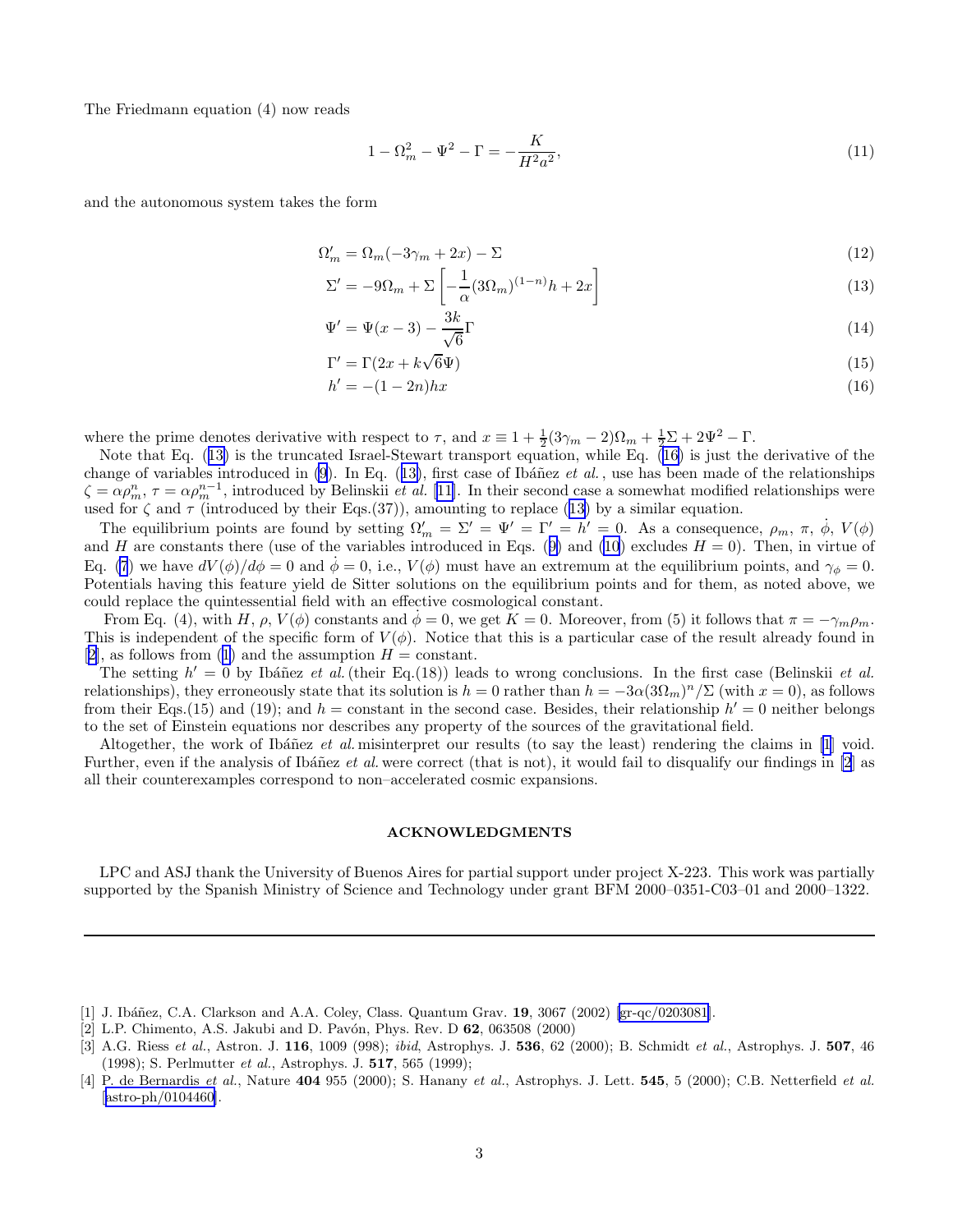<span id="page-2-0"></span>The Friedmann equation (4) now reads

$$
1 - \Omega_m^2 - \Psi^2 - \Gamma = -\frac{K}{H^2 a^2},\tag{11}
$$

and the autonomous system takes the form

$$
\Omega_m' = \Omega_m(-3\gamma_m + 2x) - \Sigma \tag{12}
$$

$$
\Sigma' = -9\Omega_m + \Sigma \left[ -\frac{1}{\alpha} (3\Omega_m)^{(1-n)} h + 2x \right] \tag{13}
$$

$$
\Psi' = \Psi(x-3) - \frac{3k}{\sqrt{6}}\Gamma\tag{14}
$$

$$
\Gamma' = \Gamma(2x + k\sqrt{6}\Psi) \tag{15}
$$

$$
h' = -(1 - 2n)hx
$$
\n(16)

where the prime denotes derivative with respect to  $\tau$ , and  $x \equiv 1 + \frac{1}{2}(3\gamma_m - 2)\Omega_m + \frac{1}{2}\Sigma + 2\Psi^2 - \Gamma$ .

Note that Eq. (13) is the truncated Israel-Stewart transport equation, while Eq. (16) is just the derivative of the change of variables introduced in  $(9)$ . In Eq.  $(13)$ , first case of Ibáñez *et al.*, use has been made of the relationships  $\zeta = \alpha \rho_m^n$ ,  $\tau = \alpha \rho_m^{n-1}$ , introduced by Belinskii *et al.* [[11\]](#page-3-0). In their second case a somewhat modified relationships were used for  $\zeta$  and  $\tau$  (introduced by their Eqs.(37)), amounting to replace (13) by a similar equation.

The equilibrium points are found by setting  $\Omega'_m = \Sigma' = \Psi' = \Gamma' = h' = 0$ . As a consequence,  $\rho_m$ ,  $\pi$ ,  $\dot{\phi}$ ,  $V(\phi)$ andH are constants there (use of the variables introduced in Eqs. ([9\)](#page-1-0) and [\(10](#page-1-0)) excludes  $H = 0$ ). Then, in virtue of Eq. [\(7](#page-1-0)) we have  $dV(\phi)/d\phi = 0$  and  $\dot{\phi} = 0$ , i.e.,  $V(\phi)$  must have an extremum at the equilibrium points, and  $\gamma_{\phi} = 0$ . Potentials having this feature yield de Sitter solutions on the equilibrium points and for them, as noted above, we could replace the quintessential field with an effective cosmological constant.

From Eq. (4), with H,  $\rho$ ,  $V(\phi)$  constants and  $\phi = 0$ , we get  $K = 0$ . Moreover, from (5) it follows that  $\pi = -\gamma_m \rho_m$ . This is independent of the specific form of  $V(\phi)$ . Notice that this is a particular case of the result already found in [2],as follows from ([1\)](#page-0-0) and the assumption  $H = constant$ .

The setting  $h' = 0$  by Ibáñez et al. (their Eq.(18)) leads to wrong conclusions. In the first case (Belinskii et al. relationships), they erroneously state that its solution is  $h = 0$  rather than  $h = -3\alpha(3\Omega_m)^n/\Sigma$  (with  $x = 0$ ), as follows from their Eqs.(15) and (19); and  $h =$  constant in the second case. Besides, their relationship  $h' = 0$  neither belongs to the set of Einstein equations nor describes any property of the sources of the gravitational field.

Altogether, the work of Ibáñez et al. misinterpret our results (to say the least) rendering the claims in  $[1]$  void. Further, even if the analysis of Ibáñez et al. were correct (that is not), it would fail to disqualify our findings in  $[2]$  as all their counterexamples correspond to non–accelerated cosmic expansions.

## ACKNOWLEDGMENTS

LPC and ASJ thank the University of Buenos Aires for partial support under project X-223. This work was partially supported by the Spanish Ministry of Science and Technology under grant BFM 2000–0351-C03–01 and 2000–1322.

- [1] J. Ibáñez, C.A. Clarkson and A.A. Coley, Class. Quantum Grav. 19, 3067 (2002) [\[gr-qc/0203081](http://arxiv.org/abs/gr-qc/0203081)].
- [2] L.P. Chimento, A.S. Jakubi and D. Pavón, Phys. Rev. D **62**, 063508 (2000)

<sup>[3]</sup> A.G. Riess et al., Astron. J. 116, 1009 (998); ibid, Astrophys. J. 536, 62 (2000); B. Schmidt et al., Astrophys. J. 507, 46 (1998); S. Perlmutter et al., Astrophys. J. 517, 565 (1999);

<sup>[4]</sup> P. de Bernardis et al., Nature 404 955 (2000); S. Hanany et al., Astrophys. J. Lett. 545, 5 (2000); C.B. Netterfield et al.  $[astro-ph/0104460]$  $[astro-ph/0104460]$ .